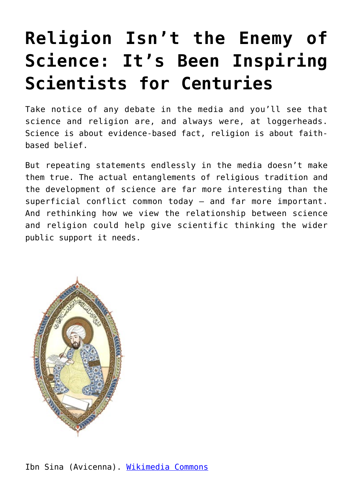## **[Religion Isn't the Enemy of](https://intellectualtakeout.org/2018/01/religion-isnt-the-enemy-of-science-its-been-inspiring-scientists-for-centuries/) [Science: It's Been Inspiring](https://intellectualtakeout.org/2018/01/religion-isnt-the-enemy-of-science-its-been-inspiring-scientists-for-centuries/) [Scientists for Centuries](https://intellectualtakeout.org/2018/01/religion-isnt-the-enemy-of-science-its-been-inspiring-scientists-for-centuries/)**

Take notice of any debate in the media and you'll see that science and religion are, and always were, at loggerheads. Science is about evidence-based fact, religion is about faithbased belief.

But repeating statements endlessly in the media doesn't make them true. The actual entanglements of religious tradition and the development of science are far more interesting than the superficial conflict common today – and far more important. And rethinking how we view the relationship between science and religion could help give scientific thinking the wider public support it needs.

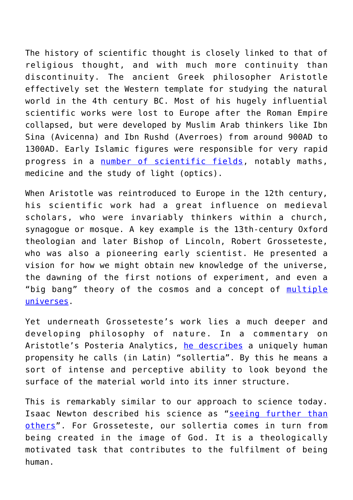The history of scientific thought is closely linked to that of religious thought, and with much more continuity than discontinuity. The ancient Greek philosopher Aristotle effectively set the Western template for studying the natural world in the 4th century BC. Most of his hugely influential scientific works were lost to Europe after the Roman Empire collapsed, but were developed by Muslim Arab thinkers like Ibn Sina (Avicenna) and Ibn Rushd (Averroes) from around 900AD to 1300AD. Early Islamic figures were responsible for very rapid progress in a [number of scientific fields](https://www.theguardian.com/science/2010/feb/01/islamic-science), notably maths, medicine and the study of light (optics).

When Aristotle was reintroduced to Europe in the 12th century, his scientific work had a great influence on medieval scholars, who were invariably thinkers within a church, synagogue or mosque. A key example is the 13th-century Oxford theologian and later Bishop of Lincoln, Robert Grosseteste, who was also a pioneering early scientist. He presented a vision for how we might obtain new knowledge of the universe, the dawning of the first notions of experiment, and even a "big bang" theory of the cosmos and a concept of [multiple](https://theconversation.com/medieval-bishops-theory-resembles-modern-concept-of-multiple-universes-25460) [universes.](https://theconversation.com/medieval-bishops-theory-resembles-modern-concept-of-multiple-universes-25460)

Yet underneath Grosseteste's work lies a much deeper and developing philosophy of nature. In a commentary on Aristotle's Posteria Analytics, [he describes](https://books.google.co.uk/books?id=S8HsDAAAQBAJ&pg=PA291&lpg=PA291&dq=James+of+Venice+Sollertia&source=bl&ots=p-aKAkxlwQ&sig=GCM_WNeUZqYGN5OaG6USh4kWv9I&hl=en&sa=X&ved=0ahUKEwjH2syc7O7YAhUBK8AKHbr9DfcQ6AEIRTAJ#v=onepage&q=James%20of%20Venice%20Sollertia&f=false) a uniquely human propensity he calls (in Latin) "sollertia". By this he means a sort of intense and perceptive ability to look beyond the surface of the material world into its inner structure.

This is remarkably similar to our approach to science today. Isaac Newton described his science as "[seeing further than](http://www.bbc.co.uk/worldservice/learningenglish/movingwords/shortlist/newton.shtml) [others](http://www.bbc.co.uk/worldservice/learningenglish/movingwords/shortlist/newton.shtml)". For Grosseteste, our sollertia comes in turn from being created in the image of God. It is a theologically motivated task that contributes to the fulfilment of being human.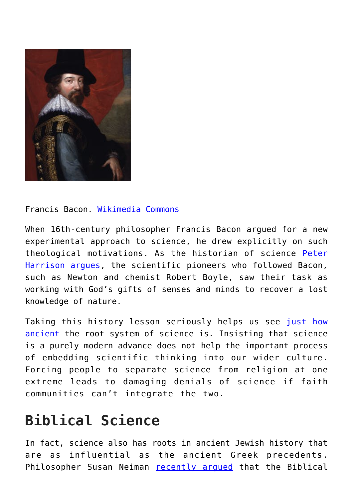

Francis Bacon. [Wikimedia Commons](https://upload.wikimedia.org/wikipedia/commons/1/11/Francis_Bacon%2C_Viscount_St_Alban_from_NPG_%282%29.jpg)

When 16th-century philosopher Francis Bacon argued for a new experimental approach to science, he drew explicitly on such theological motivations. As the historian of science [Peter](http://www.cambridge.org/de/academic/subjects/religion/theology/fall-man-and-foundations-science?format=HB&isbn=9780521875592) [Harrison argues](http://www.cambridge.org/de/academic/subjects/religion/theology/fall-man-and-foundations-science?format=HB&isbn=9780521875592), the scientific pioneers who followed Bacon, such as Newton and chemist Robert Boyle, saw their task as working with God's gifts of senses and minds to recover a lost knowledge of nature.

Taking this history lesson seriously helps us see [just how](https://theconversation.com/the-next-scientific-breakthrough-could-come-from-the-history-books-73553) [ancient](https://theconversation.com/the-next-scientific-breakthrough-could-come-from-the-history-books-73553) the root system of science is. Insisting that science is a purely modern advance does not help the important process of embedding scientific thinking into our wider culture. Forcing people to separate science from religion at one extreme leads to damaging denials of science if faith communities can't integrate the two.

## **Biblical Science**

In fact, science also has roots in ancient Jewish history that are as influential as the ancient Greek precedents. Philosopher Susan Neiman [recently argued](http://www.abc.net.au/religion/articles/2014/09/03/4080571.htm) that the Biblical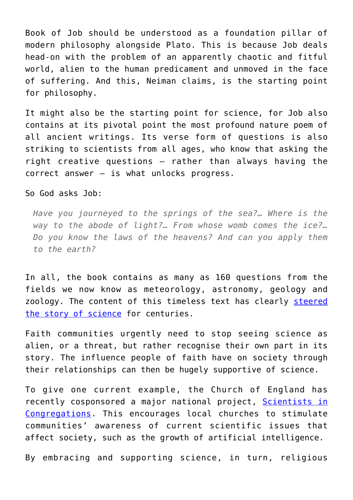Book of Job should be understood as a foundation pillar of modern philosophy alongside Plato. This is because Job deals head-on with the problem of an apparently chaotic and fitful world, alien to the human predicament and unmoved in the face of suffering. And this, Neiman claims, is the starting point for philosophy.

It might also be the starting point for science, for Job also contains at its pivotal point the most profound nature poem of all ancient writings. Its verse form of questions is also striking to scientists from all ages, who know that asking the right creative questions – rather than always having the correct answer – is what unlocks progress.

## So God asks Job:

*Have you journeyed to the springs of the sea?… Where is the way to the abode of light?… From whose womb comes the ice?… Do you know the laws of the heavens? And can you apply them to the earth?*

In all, the book contains as many as 160 questions from the fields we now know as meteorology, astronomy, geology and zoology. The content of this timeless text has clearly [steered](https://global.oup.com/academic/product/faith-and-wisdom-in-science-9780198702610?cc=gb&lang=en) [the story of science](https://global.oup.com/academic/product/faith-and-wisdom-in-science-9780198702610?cc=gb&lang=en) for centuries.

Faith communities urgently need to stop seeing science as alien, or a threat, but rather recognise their own part in its story. The influence people of faith have on society through their relationships can then be hugely supportive of science.

To give one current example, the Church of England has recently cosponsored a major national project, [Scientists in](http://community.dur.ac.uk/christianleadership.science/updates-from-our-scientists-in-congregations-projects/) [Congregations](http://community.dur.ac.uk/christianleadership.science/updates-from-our-scientists-in-congregations-projects/). This encourages local churches to stimulate communities' awareness of current scientific issues that affect society, such as the growth of artificial intelligence.

By embracing and supporting science, in turn, religious